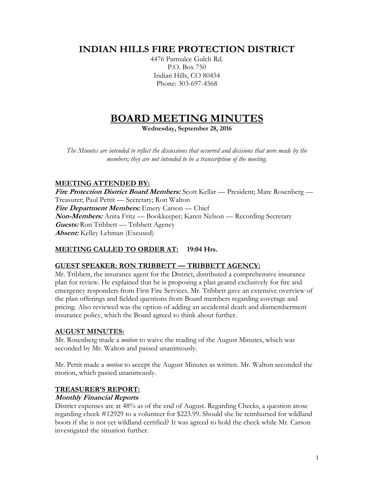## **INDIAN HILLS FIRE PROTECTION DISTRICT**

4476 Parmalee Gulch Rd. P.O. Box 750 Indian Hills, CO 80454 Phone: 303-697-4568

# **BOARD MEETING MINUTES**

**Wednesday, September 28, 2016**

*The Minutes are intended to reflect the discussions that occurred and decisions that were made by the members; they are not intended to be a transcription of the meeting.*

## **MEETING ATTENDED BY:**

**Fire Protection District Board Members:** Scott Kellar — President; Marc Rosenberg — Treasurer; Paul Pettit — Secretary; Ron Walton **Fire Department Members:** Emery Carson — Chief **Non-Members:** Anita Fritz — Bookkeeper; Karen Nelson — Recording Secretary **Guests:** Ron Tribbett — Tribbett Agency **Absent:** Kelley Lehman (Excused)

## **MEETING CALLED TO ORDER AT: 19:04 Hrs.**

## **GUEST SPEAKER: RON TRIBBETT — TRIBBETT AGENCY:**

Mr. Tribbett, the insurance agent for the District, distributed a comprehensive insurance plan for review. He explained that he is proposing a plan geared exclusively for fire and emergency responders from First Fire Services. Mr. Tribbett gave an extensive overview of the plan offerings and fielded questions from Board members regarding coverage and pricing. Also reviewed was the option of adding an accidental death and dismemberment insurance policy, which the Board agreed to think about further.

#### **AUGUST MINUTES:**

Mr. Rosenberg made a *motion* to waive the reading of the August Minutes, which was seconded by Mr. Walton and passed unanimously.

Mr. Pettit made a *motion* to accept the August Minutes as written. Mr. Walton seconded the motion, which passed unanimously.

## **TREASURER'S REPORT:**

## **Monthly Financial Reports**

District expenses are at 48% as of the end of August. Regarding Checks, a question arose regarding check #12929 to a volunteer for \$223.99. Should she be reimbursed for wildland boots if she is not yet wildland certified? It was agreed to hold the check while Mr. Carson investigated the situation further.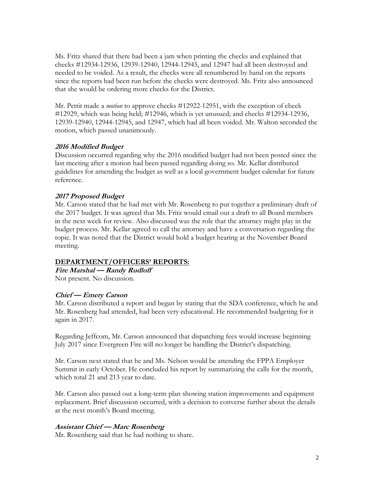Ms. Fritz shared that there had been a jam when printing the checks and explained that checks #12934-12936, 12939-12940, 12944-12945, and 12947 had all been destroyed and needed to be voided. As a result, the checks were all renumbered by hand on the reports since the reports had been run before the checks were destroyed. Ms. Fritz also announced that she would be ordering more checks for the District.

Mr. Pettit made a *motion* to approve checks #12922-12951, with the exception of check #12929, which was being held; #12946, which is yet unusued; and checks #12934-12936, 12939-12940, 12944-12945, and 12947, which had all been voided. Mr. Walton seconded the motion, which passed unanimously.

#### **2016 Modified Budget**

Discussion occurred regarding why the 2016 modified budget had not been posted since the last meeting after a motion had been passed regarding doing so. Mr. Kellar distributed guidelines for amending the budget as well as a local government budget calendar for future reference.

#### **2017 Proposed Budget**

Mr. Carson stated that he had met with Mr. Rosenberg to put together a preliminary draft of the 2017 budget. It was agreed that Ms. Fritz would email out a draft to all Board members in the next week for review. Also discussed was the role that the attorney might play in the budget process. Mr. Kellar agreed to call the attorney and have a conversation regarding the topic. It was noted that the District would hold a budget hearing at the November Board meeting.

#### **DEPARTMENT/OFFICERS' REPORTS:**

## **Fire Marshal — Randy Rudloff**

Not present. No discussion.

#### **Chief — Emery Carson**

Mr. Carson distributed a report and began by stating that the SDA conference, which he and Mr. Rosenberg had attended, had been very educational. He recommended budgeting for it again in 2017.

Regarding Jeffcom, Mr. Carson announced that dispatching fees would increase beginning July 2017 since Evergreen Fire will no longer be handling the District's dispatching.

Mr. Carson next stated that he and Ms. Nelson would be attending the FPPA Employer Summit in early October. He concluded his report by summarizing the calls for the month, which total 21 and 213 year to date.

Mr. Carson also passed out a long-term plan showing station improvements and equipment replacement. Brief discussion occurred, with a decision to converse further about the details at the next month's Board meeting.

#### **Assistant Chief — Marc Rosenberg**

Mr. Rosenberg said that he had nothing to share.